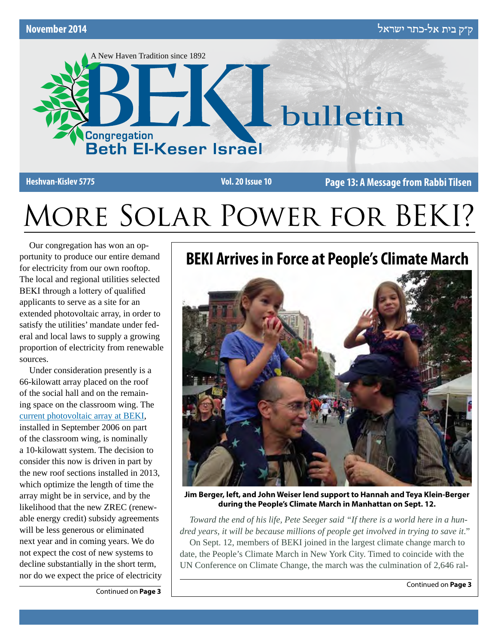

**Heshvan-Kislev 5775 Vol. 20 Issue 10 Page 13: A Message from Rabbi Tilsen**

# More Solar Power for BEKI?

Our congregation has won an opportunity to produce our entire demand for electricity from our own rooftop. The local and regional utilities selected BEKI through a lottery of qualified applicants to serve as a site for an extended photovoltaic array, in order to satisfy the utilities' mandate under federal and local laws to supply a growing proportion of electricity from renewable sources.

Under consideration presently is a 66-kilowatt array placed on the roof of the social hall and on the remaining space on the classroom wing. The current photovoltaic array at BEKI, installed in September 2006 on part of the classroom wing, is nominally a 10-kilowatt system. The decision to consider this now is driven in part by the new roof sections installed in 2013, which optimize the length of time the array might be in service, and by the likelihood that the new ZREC (renewable energy credit) subsidy agreements will be less generous or eliminated next year and in coming years. We do not expect the cost of new systems to decline substantially in the short term, nor do we expect the price of electricity **BEKI Arrives in Force at People's Climate March**



**Jim Berger, left, and John Weiser lend support to Hannah and Teya Klein-Berger during the People's Climate March in Manhattan on Sept. 12.**

*Toward the end of his life, Pete Seeger said "If there is a world here in a hundred years, it will be because millions of people get involved in trying to save it*."

On Sept. 12, members of BEKI joined in the largest climate change march to date, the People's Climate March in New York City. Timed to coincide with the UN Conference on Climate Change, the march was the culmination of 2,646 ral-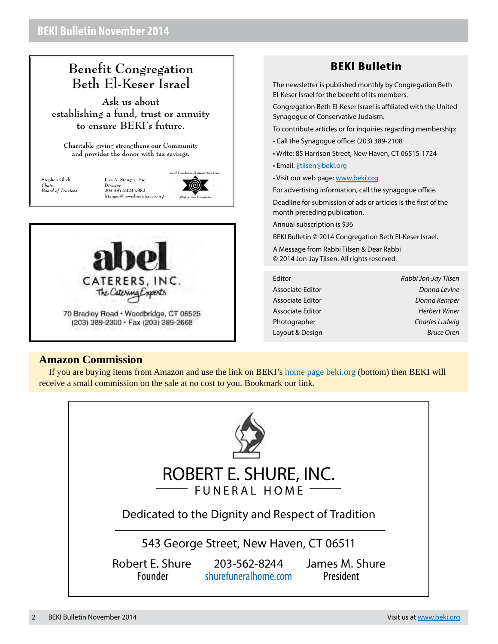## **Benefit Congregation Beth El-Keser Israel**

**Ask us about establishing a fund, trust or annuity to ensure BEKI's future.**

**Charitable giving strengthens our Community and provides the donor with tax savings.**

**Stephen Glick** *Chair, Board of Trustees*

lewish Foundation of Greater New Haves **Lisa A. Stanger, Esq.** *Director* **203 387-2424 x382**  $l$ stanger@jewishnewhav

(@)



## **BEKI Bulletin**

The newsletter is published monthly by Congregation Beth El-Keser Israel for the benefit of its members.

Congregation Beth El-Keser Israel is affiliated with the United Synagogue of Conservative Judaism.

To contribute articles or for inquiries regarding membership:

- Call the Synagogue office: (203) 389-2108
- Write: 85 Harrison Street, New Haven, CT 06515-1724
- Email: [jjtilsen@beki.org](mailto:jjtilsen@beki.org)
- Visit our web page: [www.beki.org](http://www.beki.org)

For advertising information, call the synagogue office.

Deadline for submission of ads or articles is the first of the month preceding publication.

Annual subscription is \$36

BEKI Bulletin © 2014 Congregation Beth El-Keser Israel.

A Message from Rabbi Tilsen & Dear Rabbi © 2014 Jon-Jay Tilsen. All rights reserved.

| Editor           | Rabbi Jon-Jay Tilsen |
|------------------|----------------------|
| Associate Editor | Donna Levine         |
| Associate Editor | Donna Kemper         |
| Associate Editor | Herbert Winer        |
| Photographer     | Charles Ludwig       |
| Layout & Design  | <b>Bruce Oren</b>    |

#### **Amazon Commission**

If you are buying items from Amazon and use the link on BEK[I's home page beki.o](http://www.beki.org)rg (bottom) then BEKI will receive a small commission on the sale at no cost to you. Bookmark our link.

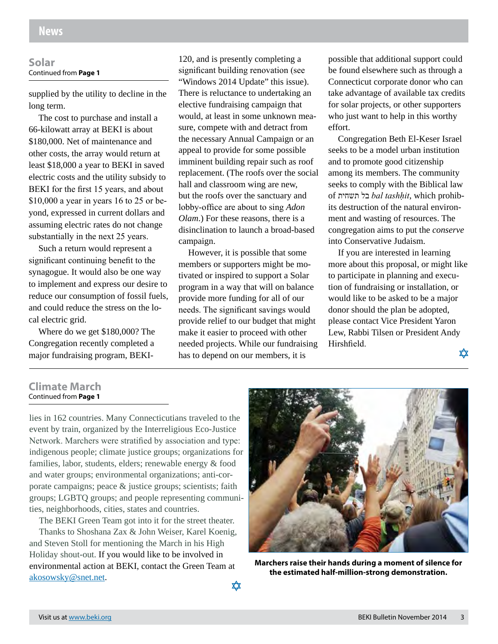#### **Solar** Continued from **Page 1**

supplied by the utility to decline in the long term.

The cost to purchase and install a 66-kilowatt array at BEKI is about \$180,000. Net of maintenance and other costs, the array would return at least \$18,000 a year to BEKI in saved electric costs and the utility subsidy to BEKI for the first 15 years, and about \$10,000 a year in years 16 to 25 or beyond, expressed in current dollars and assuming electric rates do not change substantially in the next 25 years.

Such a return would represent a significant continuing benefit to the synagogue. It would also be one way to implement and express our desire to reduce our consumption of fossil fuels, and could reduce the stress on the local electric grid.

Where do we get \$180,000? The Congregation recently completed a major fundraising program, BEKI-

120, and is presently completing a significant building renovation (see "Windows 2014 Update" this issue). There is reluctance to undertaking an elective fundraising campaign that would, at least in some unknown measure, compete with and detract from the necessary Annual Campaign or an appeal to provide for some possible imminent building repair such as roof replacement. (The roofs over the social hall and classroom wing are new, but the roofs over the sanctuary and lobby-office are about to sing *Adon Olam*.) For these reasons, there is a disinclination to launch a broad-based campaign.

However, it is possible that some members or supporters might be motivated or inspired to support a Solar program in a way that will on balance provide more funding for all of our needs. The significant savings would provide relief to our budget that might make it easier to proceed with other needed projects. While our fundraising has to depend on our members, it is

possible that additional support could be found elsewhere such as through a Connecticut corporate donor who can take advantage of available tax credits for solar projects, or other supporters who just want to help in this worthy effort.

Congregation Beth El-Keser Israel seeks to be a model urban institution and to promote good citizenship among its members. The community seeks to comply with the Biblical law of תשחית בל *bal tashḥit*, which prohibits destruction of the natural environment and wasting of resources. The congregation aims to put the *conserve* into Conservative Judaism.

If you are interested in learning more about this proposal, or might like to participate in planning and execution of fundraising or installation, or would like to be asked to be a major donor should the plan be adopted, please contact Vice President Yaron Lew, Rabbi Tilsen or President Andy Hirshfield.

文文

**Climate March** Continued from **Page 1**

lies in 162 countries. Many Connecticutians traveled to the event by train, organized by the Interreligious Eco-Justice Network. Marchers were stratified by association and type: indigenous people; climate justice groups; organizations for families, labor, students, elders; renewable energy & food and water groups; environmental organizations; anti-corporate campaigns; peace & justice groups; scientists; faith groups; LGBTQ groups; and people representing communities, neighborhoods, cities, states and countries.

The BEKI Green Team got into it for the street theater.

Thanks to Shoshana Zax & John Weiser, Karel Koenig, and Steven Stoll for mentioning the March in his High Holiday shout-out. If you would like to be involved in environmental action at BEKI, contact the Green Team at akosowsky@snet.net.



**Marchers raise their hands during a moment of silence for the estimated half-million-strong demonstration.**

⋩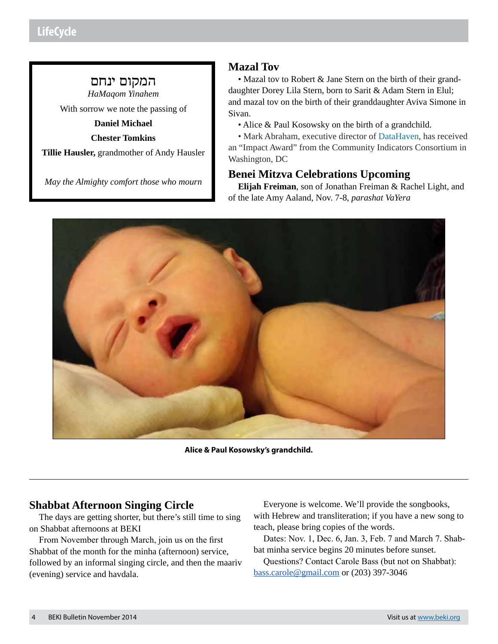## המקום ינחם

*HaMaqom Yinahem*

With sorrow we note the passing of

**Daniel Michael**

**Chester Tomkins**

**Tillie Hausler,** grandmother of Andy Hausler

*May the Almighty comfort those who mourn*

## **Mazal Tov**

• Mazal tov to Robert & Jane Stern on the birth of their granddaughter Dorey Lila Stern, born to Sarit & Adam Stern in Elul; and mazal tov on the birth of their granddaughter Aviva Simone in Sivan.

• Alice & Paul Kosowsky on the birth of a grandchild.

• Mark Abraham, executive director of DataHaven, has received an "Impact Award" from the Community Indicators Consortium in Washington, DC

## **Benei Mitzva Celebrations Upcoming**

**Elijah Freiman**, son of Jonathan Freiman & Rachel Light, and of the late Amy Aaland, Nov. 7-8, *parashat VaYera*



**Alice & Paul Kosowsky's grandchild.**

## **Shabbat Afternoon Singing Circle**

The days are getting shorter, but there's still time to sing on Shabbat afternoons at BEKI

From November through March, join us on the first Shabbat of the month for the minha (afternoon) service, followed by an informal singing circle, and then the maariv (evening) service and havdala.

Everyone is welcome. We'll provide the songbooks, with Hebrew and transliteration; if you have a new song to teach, please bring copies of the words.

Dates: Nov. 1, Dec. 6, Jan. 3, Feb. 7 and March 7. Shabbat minha service begins 20 minutes before sunset.

Questions? Contact Carole Bass (but not on Shabbat): bass.carole@gmail.com or (203) 397-3046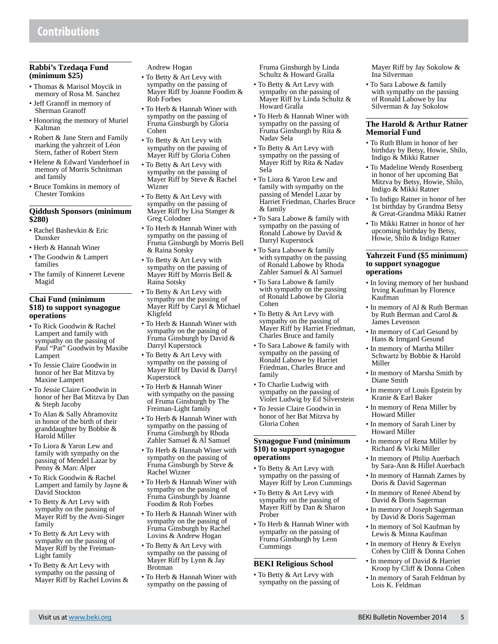#### **Rabbi's Tzedaqa Fund (minimum \$25)**

- Thomas & Marisol Moycik in memory of Rosa M. Sanchez
- Jeff Granoff in memory of Sherman Granoff
- Honoring the memory of Muriel Kaltman
- Robert & Jane Stern and Family marking the yahrzeit of Léon Stern, father of Robert Stern
- Helene & Edward Vanderhoef in memory of Morris Schnitman and family
- Bruce Tomkins in memory of Chester Tomkins

#### **Qiddush Sponsors (minimum \$280)**

- Rachel Bashevkin & Eric Dunsker
- Herb & Hannah Winer
- The Goodwin & Lampert families
- The family of Kinneret Levene Magid

#### **Chai Fund (minimum \$18) to support synagogue operations**

- To Rick Goodwin & Rachel Lampert and family with sympathy on the passing of Paul "Pat" Goodwin by Maxibe Lampert
- To Jessie Claire Goodwin in honor of her Bat Mitzva by Maxine Lampert
- To Jessie Claire Goodwin in honor of her Bat Mitzva by Dan & Steph Jacoby
- To Alan & Sally Abramovitz in honor of the birth of their granddaughter by Bobbie & Harold Miller
- To Liora & Yaron Lew and family with sympathy on the passing of Mendel Lazar by Penny & Marc Alper
- To Rick Goodwin & Rachel Lampert and family by Jayne & David Stockton
- To Betty & Art Levy with sympathy on the passing of Mayer Riff by the Avni-Singer family
- To Betty & Art Levy with sympathy on the passing of Mayer Riff by the Freiman-Light family
- To Betty & Art Levy with sympathy on the passing of Mayer Riff by Rachel Lovins &

Andrew Hogan

- To Betty & Art Levy with sympathy on the passing of Mayer Riff by Joanne Foodim & Rob Forbes
- To Herb & Hannah Winer with sympathy on the passing of Fruma Ginsburgh by Gloria Cohen
- To Betty & Art Levy with sympathy on the passing of Mayer Riff by Gloria Cohen
- To Betty & Art Levy with sympathy on the passing of Mayer Riff by Steve & Rachel Wizner
- To Betty & Art Levy with sympathy on the passing of Mayer Riff by Lisa Stanger & Greg Colodner
- To Herb & Hannah Winer with sympathy on the passing of Fruma Ginsburgh by Morris Bell & Raina Sotsky
- To Betty & Art Levy with sympathy on the passing of Mayer Riff by Morris Bell & Raina Sotsky
- To Betty & Art Levy with sympathy on the passing of Mayer Riff by Caryl & Michael Kligfeld
- To Herb & Hannah Winer with sympathy on the passing of Fruma Ginsburgh by David & Darryl Kuperstock
- To Betty & Art Levy with sympathy on the passing of Mayer Riff by David & Darryl Kuperstock
- To Herb & Hannah Winer with sympathy on the passing of Fruma Ginsburgh by The Freiman-Light family
- To Herb & Hannah Winer with sympathy on the passing of Fruma Ginsburgh by Rhoda Zahler Samuel & Al Samuel
- To Herb & Hannah Winer with sympathy on the passing of Fruma Ginsburgh by Steve & Rachel Wizner
- To Herb & Hannah Winer with sympathy on the passing of Fruma Ginsburgh by Joanne Foodim & Rob Forbes
- To Herb & Hannah Winer with sympathy on the passing of Fruma Ginsburgh by Rachel Lovins & Andrew Hogan
- To Betty & Art Levy with sympathy on the passing of Mayer Riff by Lynn & Jay Brotman
- To Herb & Hannah Winer with sympathy on the passing of

Fruma Ginsburgh by Linda Schultz & Howard Gralla

- To Betty & Art Levy with sympathy on the passing of Mayer Riff by Linda Schultz & Howard Gralla
- To Herb & Hannah Winer with sympathy on the passing of Fruma Ginsburgh by Rita & Nadav Sela
- To Betty & Art Levy with sympathy on the passing of Mayer Riff by Rita & Nadav Sela
- To Liora & Yaron Lew and family with sympathy on the passing of Mendel Lazar by Harriet Friedman, Charles Bruce  $&$  family
- To Sara Labowe & family with sympathy on the passing of Ronald Labowe by David & Darryl Kuperstock
- To Sara Labowe & family with sympathy on the passing of Ronald Labowe by Rhoda Zahler Samuel & Al Samuel
- To Sara Labowe & family with sympathy on the passing of Ronald Labowe by Gloria Cohen
- To Betty & Art Levy with sympathy on the passing of Mayer Riff by Harriet Friedman, Charles Bruce and family
- To Sara Labowe & family with sympathy on the passing of Ronald Labowe by Harriet Friedman, Charles Bruce and family
- To Charlie Ludwig with sympathy on the passing of Violet Ludwig by Ed Silverstein
- To Jessie Claire Goodwin in honor of her Bat Mitzva by Gloria Cohen

#### **Synagogue Fund (minimum \$10) to support synagogue operations**

- To Betty & Art Levy with sympathy on the passing of Mayer Riff by Leon Cummings
- To Betty & Art Levy with sympathy on the passing of Mayer Riff by Dan & Sharon Prober
- To Herb & Hannah Winer with sympathy on the passing of Fruma Ginsburgh by Leon Cummings

#### **BEKI Religious School**

• To Betty & Art Levy with sympathy on the passing of Mayer Riff by Jay Sokolow & Ina Silverman

• To Sara Labowe & family with sympathy on the passing of Ronald Labowe by Ina Silverman & Jay Sokolow

#### **The Harold & Arthur Ratner Memorial Fund**

- To Ruth Blum in honor of her birthday by Betsy, Howie, Shilo, Indigo & Mikki Ratner
- To Madeline Wendy Rosenberg in honor of her upcoming Bat Mitzva by Betsy, Howie, Shilo, Indigo & Mikki Ratner
- To Indigo Ratner in honor of her 1st birthday by Grandma Betsy & Great-Grandma Mikki Ratner
- To Mikki Ratner in honor of her upcoming birthday by Betsy, Howie, Shilo & Indigo Ratner

#### **Yahrzeit Fund (\$5 minimum) to support synagogue operations**

- In loving memory of her husband Irving Kaufman by Florence Kaufman
- In memory of Al & Ruth Berman by Ruth Berman and Carol & James Levenson
- In memory of Carl Gesund by Hans & Irmgard Gesund
- In memory of Martha Miller Schwartz by Bobbie & Harold Miller
- In memory of Marsha Smith by Diane Smith
- In memory of Louis Epstein by Kranie & Earl Baker
- In memory of Rena Miller by Howard Miller
- In memory of Sarah Liner by Howard Miller
- In memory of Rena Miller by Richard & Vicki Miller
- In memory of Philip Auerbach by Sara-Ann & Hillel Auerbach
- In memory of Hannah Zarnes by Doris & David Sagerman
- In memory of Reneé Abend by David & Doris Sagerman
- In memory of Joseph Sagerman by David & Doris Sagerman
- In memory of Sol Kaufman by Lewis & Minna Kaufman
- In memory of Henry & Evelyn Cohen by Cliff & Donna Cohen
- In memory of David & Harriet Kroop by Cliff & Donna Cohen
- In memory of Sarah Feldman by Lois K. Feldman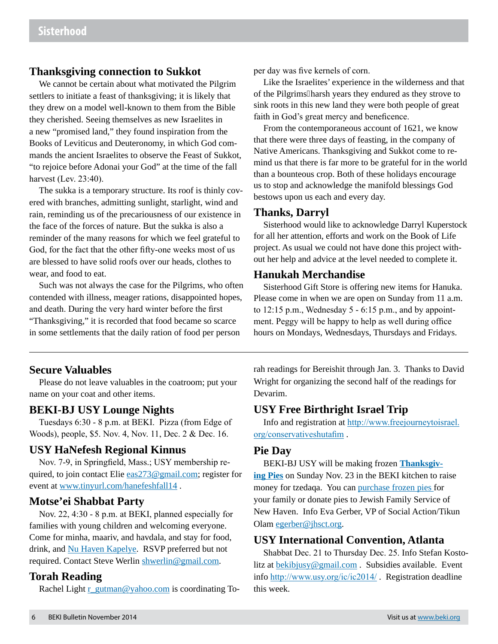#### **Thanksgiving connection to Sukkot**

We cannot be certain about what motivated the Pilgrim settlers to initiate a feast of thanksgiving; it is likely that they drew on a model well-known to them from the Bible they cherished. Seeing themselves as new Israelites in a new "promised land," they found inspiration from the Books of Leviticus and Deuteronomy, in which God commands the ancient Israelites to observe the Feast of Sukkot, "to rejoice before Adonai your God" at the time of the fall harvest (Lev. 23:40).

The sukka is a temporary structure. Its roof is thinly covered with branches, admitting sunlight, starlight, wind and rain, reminding us of the precariousness of our existence in the face of the forces of nature. But the sukka is also a reminder of the many reasons for which we feel grateful to God, for the fact that the other fifty-one weeks most of us are blessed to have solid roofs over our heads, clothes to wear, and food to eat.

Such was not always the case for the Pilgrims, who often contended with illness, meager rations, disappointed hopes, and death. During the very hard winter before the first "Thanksgiving," it is recorded that food became so scarce in some settlements that the daily ration of food per person

per day was five kernels of corn.

Like the Israelites' experience in the wilderness and that of the Pilgrims harsh years they endured as they strove to sink roots in this new land they were both people of great faith in God's great mercy and beneficence.

From the contemporaneous account of 1621, we know that there were three days of feasting, in the company of Native Americans. Thanksgiving and Sukkot come to remind us that there is far more to be grateful for in the world than a bounteous crop. Both of these holidays encourage us to stop and acknowledge the manifold blessings God bestows upon us each and every day.

#### **Thanks, Darryl**

Sisterhood would like to acknowledge Darryl Kuperstock for all her attention, efforts and work on the Book of Life project. As usual we could not have done this project without her help and advice at the level needed to complete it.

#### **Hanukah Merchandise**

Sisterhood Gift Store is offering new items for Hanuka. Please come in when we are open on Sunday from 11 a.m. to  $12:15$  p.m., Wednesday  $5 - 6:15$  p.m., and by appointment. Peggy will be happy to help as well during office hours on Mondays, Wednesdays, Thursdays and Fridays.

## **Secure Valuables**

Please do not leave valuables in the coatroom; put your name on your coat and other items.

#### **BEKI-BJ USY Lounge Nights**

Tuesdays 6:30 - 8 p.m. at BEKI. Pizza (from Edge of Woods), people, \$5. Nov. 4, Nov. 11, Dec. 2 & Dec. 16.

#### **USY HaNefesh Regional Kinnus**

Nov. 7-9, in Springfield, Mass.; USY membership required, to join contact Elie eas 273@gmail.com; register for event at www.tinyurl.com/hanefeshfall14 .

## **Motse'ei Shabbat Party**

Nov. 22, 4:30 - 8 p.m. at BEKI, planned especially for families with young children and welcoming everyone. Come for minha, maariv, and havdala, and stay for food, drink, and Nu Haven Kapelye. RSVP preferred but not required. Contact Steve Werlin shwerlin@gmail.com.

#### **Torah Reading**

Rachel Light  $r$  gutman@yahoo.com is coordinating To-

rah readings for Bereishit through Jan. 3. Thanks to David Wright for organizing the second half of the readings for Devarim.

#### **USY Free Birthright Israel Trip**

Info and registration at http://www.freejourneytoisrael. org/conservativeshutafim .

#### **Pie Day**

BEKI-BJ USY will be making frozen **Thanksgiving Pies** on Sunday Nov. 23 in the BEKI kitchen to raise money for tzedaqa. You can purchase frozen pies for your family or donate pies to Jewish Family Service of New Haven. Info Eva Gerber, VP of Social Action/Tikun Olam egerber@jhsct.org.

#### **USY International Convention, Atlanta**

Shabbat Dec. 21 to Thursday Dec. 25. Info Stefan Kostolitz at bekibjusy@gmail.com . Subsidies available. Event info http://www.usy.org/ic/ic2014/ . Registration deadline this week.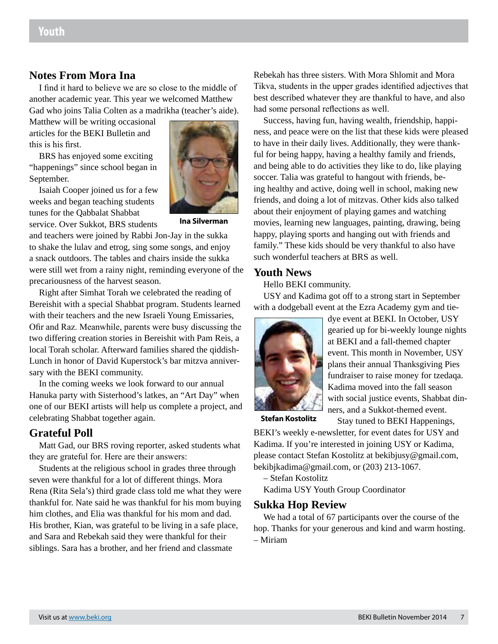## **Notes From Mora Ina**

I find it hard to believe we are so close to the middle of another academic year. This year we welcomed Matthew Gad who joins Talia Colten as a madrikha (teacher's aide).

Matthew will be writing occasional articles for the BEKI Bulletin and this is his first.

BRS has enjoyed some exciting "happenings" since school began in September.

Isaiah Cooper joined us for a few weeks and began teaching students tunes for the Qabbalat Shabbat service. Over Sukkot, BRS students



**Ina Silverman**

and teachers were joined by Rabbi Jon-Jay in the sukka to shake the lulav and etrog, sing some songs, and enjoy a snack outdoors. The tables and chairs inside the sukka were still wet from a rainy night, reminding everyone of the precariousness of the harvest season.

Right after Simhat Torah we celebrated the reading of Bereishit with a special Shabbat program. Students learned with their teachers and the new Israeli Young Emissaries, Ofir and Raz. Meanwhile, parents were busy discussing the two differing creation stories in Bereishit with Pam Reis, a local Torah scholar. Afterward families shared the qiddish-Lunch in honor of David Kuperstock's bar mitzva anniversary with the BEKI community.

In the coming weeks we look forward to our annual Hanuka party with Sisterhood's latkes, an "Art Day" when one of our BEKI artists will help us complete a project, and celebrating Shabbat together again.

## **Grateful Poll**

Matt Gad, our BRS roving reporter, asked students what they are grateful for. Here are their answers:

Students at the religious school in grades three through seven were thankful for a lot of different things. Mora Rena (Rita Sela's) third grade class told me what they were thankful for. Nate said he was thankful for his mom buying him clothes, and Elia was thankful for his mom and dad. His brother, Kian, was grateful to be living in a safe place, and Sara and Rebekah said they were thankful for their siblings. Sara has a brother, and her friend and classmate

Rebekah has three sisters. With Mora Shlomit and Mora Tikva, students in the upper grades identified adjectives that best described whatever they are thankful to have, and also had some personal reflections as well.

Success, having fun, having wealth, friendship, happiness, and peace were on the list that these kids were pleased to have in their daily lives. Additionally, they were thankful for being happy, having a healthy family and friends, and being able to do activities they like to do, like playing soccer. Talia was grateful to hangout with friends, being healthy and active, doing well in school, making new friends, and doing a lot of mitzvas. Other kids also talked about their enjoyment of playing games and watching movies, learning new languages, painting, drawing, being happy, playing sports and hanging out with friends and family." These kids should be very thankful to also have such wonderful teachers at BRS as well.

#### **Youth News**

Hello BEKI community.

USY and Kadima got off to a strong start in September with a dodgeball event at the Ezra Academy gym and tie-



dye event at BEKI. In October, USY gearied up for bi-weekly lounge nights at BEKI and a fall-themed chapter event. This month in November, USY plans their annual Thanksgiving Pies fundraiser to raise money for tzedaqa. Kadima moved into the fall season with social justice events, Shabbat dinners, and a Sukkot-themed event.

**Stefan Kostolitz**

Stay tuned to BEKI Happenings, BEKI's weekly e-newsletter, for event dates for USY and Kadima. If you're interested in joining USY or Kadima, please contact Stefan Kostolitz at bekibjusy@gmail.com, bekibjkadima@gmail.com, or (203) 213-1067.

– Stefan Kostolitz

Kadima USY Youth Group Coordinator

#### **Sukka Hop Review**

We had a total of 67 participants over the course of the hop. Thanks for your generous and kind and warm hosting. – Miriam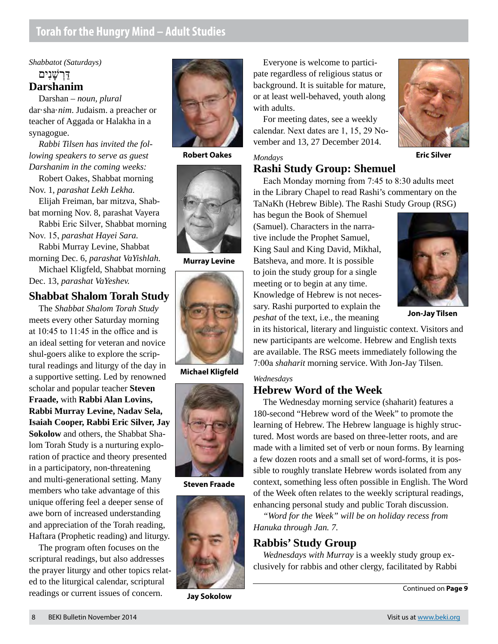## **Torah for the Hungry Mind – Adult Studies**

*Shabbatot (Saturdays)* דַּרְ שָׁנִים **Darshanim**

Darshan – *noun, plural* dar·sha·*nim*. Judaism. a preacher or teacher of Aggada or Halakha in a synagogue.

*Rabbi Tilsen has invited the following speakers to serve as guest Darshanim in the coming weeks:*

Robert Oakes, Shabbat morning Nov. 1, *parashat Lekh Lekha.*

Elijah Freiman, bar mitzva, Shabbat morning Nov. 8, parashat Vayera

Rabbi Eric Silver, Shabbat morning Nov. 15, *parashat Hayei Sara.*

Rabbi Murray Levine, Shabbat morning Dec. 6, *parashat VaYishlah.*

Michael Kligfeld, Shabbat morning Dec. 13, *parashat VaYeshev.*

#### **Shabbat Shalom Torah Study**

The *Shabbat Shalom Torah Study* meets every other Saturday morning at 10:45 to 11:45 in the office and is an ideal setting for veteran and novice shul-goers alike to explore the scriptural readings and liturgy of the day in a supportive setting. Led by renowned scholar and popular teacher **Steven Fraade,** with **Rabbi Alan Lovins, Rabbi Murray Levine, Nadav Sela, Isaiah Cooper, Rabbi Eric Silver, Jay Sokolow** and others, the Shabbat Shalom Torah Study is a nurturing exploration of practice and theory presented in a participatory, non-threatening and multi-generational setting. Many members who take advantage of this unique offering feel a deeper sense of awe born of increased understanding and appreciation of the Torah reading, Haftara (Prophetic reading) and liturgy.

The program often focuses on the scriptural readings, but also addresses the prayer liturgy and other topics related to the liturgical calendar, scriptural readings or current issues of concern.



**Robert Oakes**





**Michael Kligfeld**



**Steven Fraade**



**Jay Sokolow**

Everyone is welcome to participate regardless of religious status or background. It is suitable for mature, or at least well-behaved, youth along with adults.

For meeting dates, see a weekly calendar. Next dates are 1, 15, 29 November and 13, 27 December 2014.

**Rashi Study Group: Shemuel**

has begun the Book of Shemuel

#### *Mondays*



**Murray Levine**



**Jon-Jay Tilsen**

in its historical, literary and linguistic context. Visitors and new participants are welcome. Hebrew and English texts are available. The RSG meets immediately following the 7:00a *shaharit* morning service. With Jon-Jay Tilsen.

Each Monday morning from 7:45 to 8:30 adults meet in the Library Chapel to read Rashi's commentary on the TaNaKh (Hebrew Bible). The Rashi Study Group (RSG)

#### *Wednesdays*

#### **Hebrew Word of the Week**

*peshat* of the text, i.e., the meaning

The Wednesday morning service (shaharit) features a 180-second "Hebrew word of the Week" to promote the learning of Hebrew. The Hebrew language is highly structured. Most words are based on three-letter roots, and are made with a limited set of verb or noun forms. By learning a few dozen roots and a small set of word-forms, it is possible to roughly translate Hebrew words isolated from any context, something less often possible in English. The Word of the Week often relates to the weekly scriptural readings, enhancing personal study and public Torah discussion.

*"Word for the Week" will be on holiday recess from Hanuka through Jan. 7.*

#### **Rabbis' Study Group**

*Wednesdays with Murray* is a weekly study group exclusively for rabbis and other clergy, facilitated by Rabbi

Continued on **Page 9**

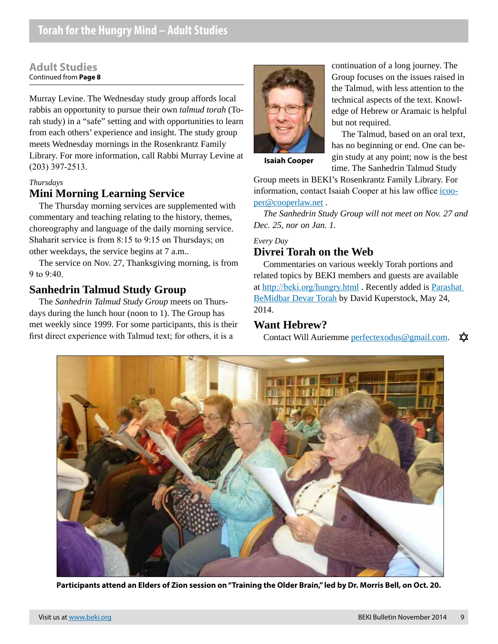#### **Adult Studies** Continued from **Page 8**

Murray Levine. The Wednesday study group affords local rabbis an opportunity to pursue their own *talmud torah* (Torah study) in a "safe" setting and with opportunities to learn from each others' experience and insight. The study group meets Wednesday mornings in the Rosenkrantz Family Library. For more information, call Rabbi Murray Levine at (203) 397-2513.

#### *Thursdays*

## **Mini Morning Learning Service**

The Thursday morning services are supplemented with commentary and teaching relating to the history, themes, choreography and language of the daily morning service. Shaharit service is from 8:15 to 9:15 on Thursdays; on other weekdays, the service begins at 7 a.m..

The service on Nov. 27, Thanksgiving morning, is from 9 to 9:40.

## **Sanhedrin Talmud Study Group**

The *Sanhedrin Talmud Study Group* meets on Thursdays during the lunch hour (noon to 1). The Group has met weekly since 1999. For some participants, this is their first direct experience with Talmud text; for others, it is a



continuation of a long journey. The Group focuses on the issues raised in the Talmud, with less attention to the technical aspects of the text. Knowledge of Hebrew or Aramaic is helpful but not required.

The Talmud, based on an oral text, has no beginning or end. One can begin study at any point; now is the best time. The Sanhedrin Talmud Study

**Isaiah Cooper**

Group meets in BEKI's Rosenkrantz Family Library. For information, contact Isaiah Cooper at his law office icooper@cooperlaw.net .

*The Sanhedrin Study Group will not meet on Nov. 27 and Dec. 25, nor on Jan. 1.*

*Every Day*

#### **Divrei Torah on the Web**

Commentaries on various weekly Torah portions and related topics by BEKI members and guests are available at http://beki.org/hungry.html . Recently added is Parashat BeMidbar Devar Torah by David Kuperstock, May 24, 2014.

#### **Want Hebrew?**

Contact Will Auriemme perfectexodus@gmail.com. ☎



**Participants attend an Elders of Zion session on "Training the Older Brain," led by Dr. Morris Bell, on Oct. 20.**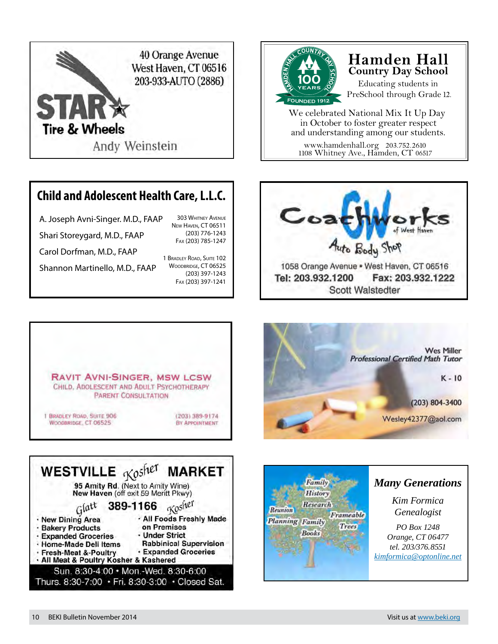

## **Child and Adolescent Health Care, L.L.C.**

A. Joseph Avni-Singer. M.D., FAAP Shari Storeygard, M.D., FAAP Carol Dorfman, M.D., FAAP New Haven, CT 06511 Fax (203) 785-1247

Shannon Martinello, M.D., FAAP

1 Bradley Road, Suite 102 WOODBRIDGE, CT 06525 (203) 397-1243 Fax (203) 397-1241

303 Whitney Avenue

(203) 776-1243



## **Hamden Hall Country Day School**

Educating students in PreSchool through Grade 12.

www.hamdenhall.org 203.752.2610 We celebrated National Mix It Up Day in October to foster greater respect and understanding among our students.

1108 Whitney Ave., Hamden, CT 06517











## *Many Generations*

*Kim Formica Genealogist*

*PO Box 1248 Orange, CT 06477 tel. 203/376.8551 [kimformica@optonline.net](mailto:kimformica@optonline.net)*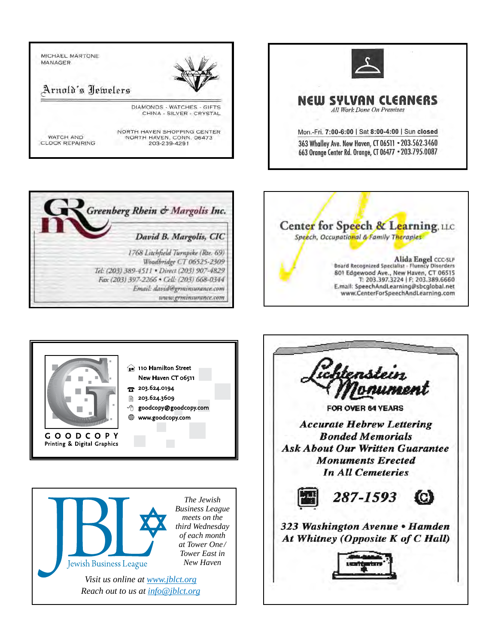









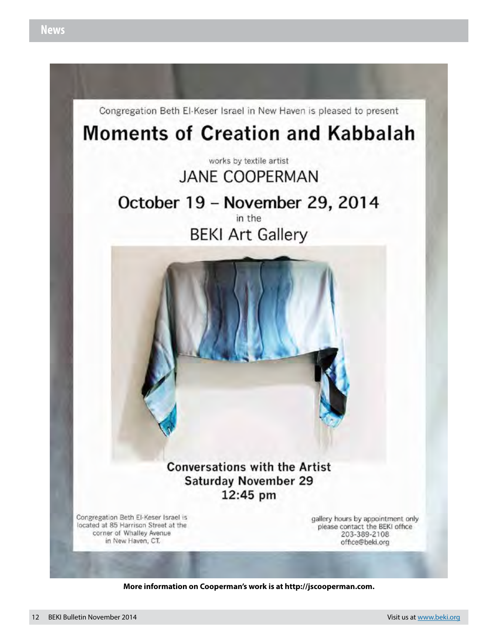

**More information on Cooperman's work is at http://jscooperman.com.**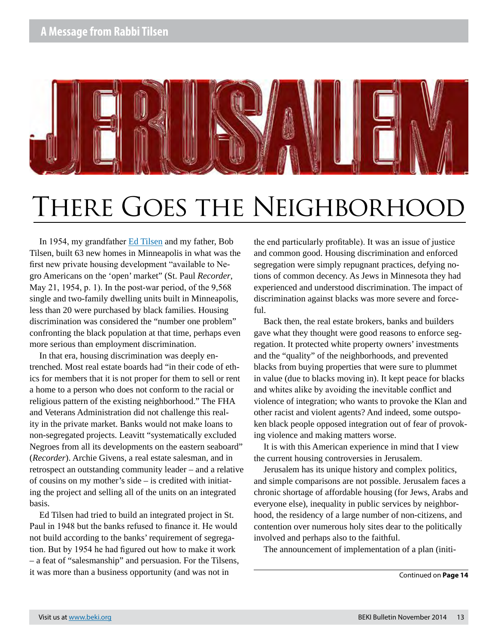

# THERE GOES THE NEIGHBORHOOD

In 1954, my grandfather Ed Tilsen and my father, Bob Tilsen, built 63 new homes in Minneapolis in what was the first new private housing development "available to Negro Americans on the 'open' market" (St. Paul *Recorder*, May 21, 1954, p. 1). In the post-war period, of the 9,568 single and two-family dwelling units built in Minneapolis, less than 20 were purchased by black families. Housing discrimination was considered the "number one problem" confronting the black population at that time, perhaps even more serious than employment discrimination.

In that era, housing discrimination was deeply entrenched. Most real estate boards had "in their code of ethics for members that it is not proper for them to sell or rent a home to a person who does not conform to the racial or religious pattern of the existing neighborhood." The FHA and Veterans Administration did not challenge this reality in the private market. Banks would not make loans to non-segregated projects. Leavitt "systematically excluded Negroes from all its developments on the eastern seaboard" (*Recorder*). Archie Givens, a real estate salesman, and in retrospect an outstanding community leader – and a relative of cousins on my mother's side – is credited with initiating the project and selling all of the units on an integrated basis.

Ed Tilsen had tried to build an integrated project in St. Paul in 1948 but the banks refused to finance it. He would not build according to the banks' requirement of segregation. But by 1954 he had figured out how to make it work – a feat of "salesmanship" and persuasion. For the Tilsens, it was more than a business opportunity (and was not in

the end particularly profitable). It was an issue of justice and common good. Housing discrimination and enforced segregation were simply repugnant practices, defying notions of common decency. As Jews in Minnesota they had experienced and understood discrimination. The impact of discrimination against blacks was more severe and forceful.

Back then, the real estate brokers, banks and builders gave what they thought were good reasons to enforce segregation. It protected white property owners' investments and the "quality" of the neighborhoods, and prevented blacks from buying properties that were sure to plummet in value (due to blacks moving in). It kept peace for blacks and whites alike by avoiding the inevitable conflict and violence of integration; who wants to provoke the Klan and other racist and violent agents? And indeed, some outspoken black people opposed integration out of fear of provoking violence and making matters worse.

It is with this American experience in mind that I view the current housing controversies in Jerusalem.

Jerusalem has its unique history and complex politics, and simple comparisons are not possible. Jerusalem faces a chronic shortage of affordable housing (for Jews, Arabs and everyone else), inequality in public services by neighborhood, the residency of a large number of non-citizens, and contention over numerous holy sites dear to the politically involved and perhaps also to the faithful.

The announcement of implementation of a plan (initi-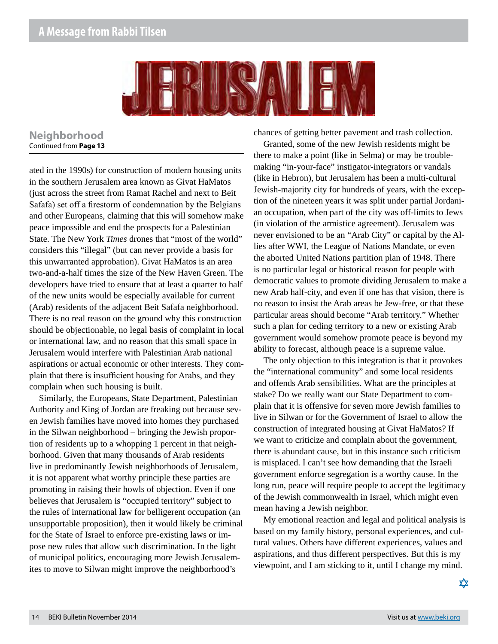## **A Message from Rabbi Tilsen**



#### **Neighborhood** Continued from **Page 13**

ated in the 1990s) for construction of modern housing units in the southern Jerusalem area known as Givat HaMatos (just across the street from Ramat Rachel and next to Beit Safafa) set off a firestorm of condemnation by the Belgians and other Europeans, claiming that this will somehow make peace impossible and end the prospects for a Palestinian State. The New York *Times* drones that "most of the world" considers this "illegal" (but can never provide a basis for this unwarranted approbation). Givat HaMatos is an area two-and-a-half times the size of the New Haven Green. The developers have tried to ensure that at least a quarter to half of the new units would be especially available for current (Arab) residents of the adjacent Beit Safafa neighborhood. There is no real reason on the ground why this construction should be objectionable, no legal basis of complaint in local or international law, and no reason that this small space in Jerusalem would interfere with Palestinian Arab national aspirations or actual economic or other interests. They complain that there is insufficient housing for Arabs, and they complain when such housing is built.

Similarly, the Europeans, State Department, Palestinian Authority and King of Jordan are freaking out because seven Jewish families have moved into homes they purchased in the Silwan neighborhood – bringing the Jewish proportion of residents up to a whopping 1 percent in that neighborhood. Given that many thousands of Arab residents live in predominantly Jewish neighborhoods of Jerusalem, it is not apparent what worthy principle these parties are promoting in raising their howls of objection. Even if one believes that Jerusalem is "occupied territory" subject to the rules of international law for belligerent occupation (an unsupportable proposition), then it would likely be criminal for the State of Israel to enforce pre-existing laws or impose new rules that allow such discrimination. In the light of municipal politics, encouraging more Jewish Jerusalemites to move to Silwan might improve the neighborhood's

chances of getting better pavement and trash collection.

Granted, some of the new Jewish residents might be there to make a point (like in Selma) or may be troublemaking "in-your-face" instigator-integrators or vandals (like in Hebron), but Jerusalem has been a multi-cultural Jewish-majority city for hundreds of years, with the exception of the nineteen years it was split under partial Jordanian occupation, when part of the city was off-limits to Jews (in violation of the armistice agreement). Jerusalem was never envisioned to be an "Arab City" or capital by the Allies after WWI, the League of Nations Mandate, or even the aborted United Nations partition plan of 1948. There is no particular legal or historical reason for people with democratic values to promote dividing Jerusalem to make a new Arab half-city, and even if one has that vision, there is no reason to insist the Arab areas be Jew-free, or that these particular areas should become "Arab territory." Whether such a plan for ceding territory to a new or existing Arab government would somehow promote peace is beyond my ability to forecast, although peace is a supreme value.

The only objection to this integration is that it provokes the "international community" and some local residents and offends Arab sensibilities. What are the principles at stake? Do we really want our State Department to complain that it is offensive for seven more Jewish families to live in Silwan or for the Government of Israel to allow the construction of integrated housing at Givat HaMatos? If we want to criticize and complain about the government, there is abundant cause, but in this instance such criticism is misplaced. I can't see how demanding that the Israeli government enforce segregation is a worthy cause. In the long run, peace will require people to accept the legitimacy of the Jewish commonwealth in Israel, which might even mean having a Jewish neighbor.

My emotional reaction and legal and political analysis is based on my family history, personal experiences, and cultural values. Others have different experiences, values and aspirations, and thus different perspectives. But this is my viewpoint, and I am sticking to it, until I change my mind.

₥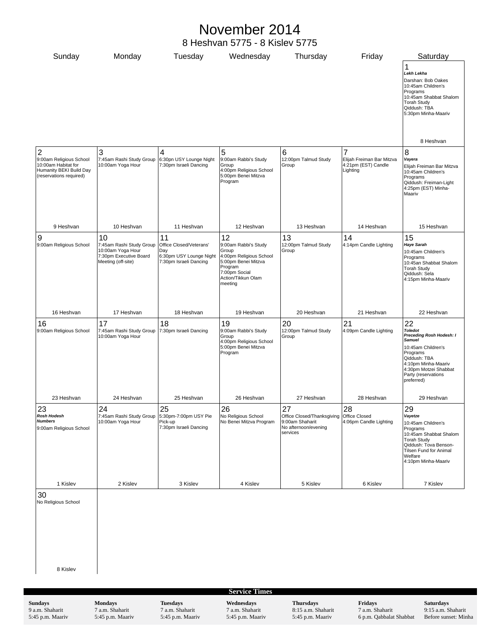# November 2014

8 Heshvan 5775 - 8 Kislev 5775

| Sunday                                                                                               | Monday                                                                                        | Tuesday                                                                             | Wednesday                                                                                                                                    | Thursday                                                                                              | Friday                                                       | Saturday                                                                                                                                                                                                 |
|------------------------------------------------------------------------------------------------------|-----------------------------------------------------------------------------------------------|-------------------------------------------------------------------------------------|----------------------------------------------------------------------------------------------------------------------------------------------|-------------------------------------------------------------------------------------------------------|--------------------------------------------------------------|----------------------------------------------------------------------------------------------------------------------------------------------------------------------------------------------------------|
|                                                                                                      |                                                                                               |                                                                                     |                                                                                                                                              |                                                                                                       |                                                              | 1<br>Lekh Lekha<br>Darshan: Bob Oakes<br>10:45am Children's<br>Programs<br>10:45am Shabbat Shalom<br><b>Torah Study</b><br>Qiddush: TBA<br>5:30pm Minha-Maariv<br>8 Heshvan                              |
| $\overline{2}$                                                                                       | 3                                                                                             | 4                                                                                   | 5                                                                                                                                            | 6                                                                                                     | 7                                                            | 8                                                                                                                                                                                                        |
| 9:00am Religious School<br>10:00am Habitat for<br>Humanity BEKI Build Day<br>(reservations required) | 7:45am Rashi Study Group<br>10:00am Yoga Hour                                                 | 6:30pn USY Lounge Night<br>7:30pm Israeli Dancing                                   | 9:00am Rabbi's Study<br>Group<br>4:00pm Religious School<br>5:00pm Benei Mitzva<br>Program                                                   | 12:00pm Talmud Study<br>Group                                                                         | Elijah Freiman Bar Mitzva<br>4:21pm (EST) Candle<br>Lighting | Vayera<br>Elijah Freiman Bar Mitzva<br>10:45am Children's<br>Programs<br>Qiddush: Freiman-Light<br>4:25pm (EST) Minha-<br>Maariv                                                                         |
| 9 Heshvan                                                                                            | 10 Heshvan                                                                                    | 11 Heshvan                                                                          | 12 Heshvan                                                                                                                                   | 13 Heshvan                                                                                            | 14 Heshvan                                                   | 15 Heshvan                                                                                                                                                                                               |
| 9                                                                                                    | 10                                                                                            | 11                                                                                  | 12                                                                                                                                           | 13                                                                                                    | 14                                                           | 15                                                                                                                                                                                                       |
| 9:00am Religious School                                                                              | 7:45am Rashi Study Group<br>10:00am Yoga Hour<br>7:30pm Executive Board<br>Meeting (off-site) | Office Closed/Veterans'<br>Day<br>6:30pm USY Lounge Night<br>7:30pm Israeli Dancing | 9:00am Rabbi's Study<br>Group<br>4:00pm Religious School<br>5:00pm Benei Mitzva<br>Program<br>7:00pm Social<br>Action/Tikkun Olam<br>meeting | 12:00pm Talmud Study<br>Group                                                                         | 4:14pm Candle Lighting                                       | <b>Haye Sarah</b><br>10:45am Children's<br>Programs<br>10:45an Shabbat Shalom<br><b>Torah Study</b><br>Qiddush: Sela<br>4:15pm Minha-Maariv                                                              |
| 16 Heshvan                                                                                           | 17 Heshvan                                                                                    | 18 Heshvan                                                                          | 19 Heshvan                                                                                                                                   | 20 Heshvan                                                                                            | 21 Heshvan                                                   | 22 Heshvan                                                                                                                                                                                               |
| 16<br>9:00am Religious School                                                                        | 17<br>7:45am Rashi Study Group<br>10:00am Yoga Hour                                           | 18<br>7:30pm Israeli Dancing                                                        | 19<br>9:00am Rabbi's Study<br>Group<br>4:00pm Religious School<br>5:00pm Benei Mitzva<br>Program                                             | 20<br>12:00pm Talmud Study<br>Group                                                                   | 21<br>4:09pm Candle Lighting                                 | 22<br><b>Toledot</b><br>Preceding Rosh Hodesh: I<br><b>Samuel</b><br>10:45am Children's<br>Programs<br>Qiddush: TBA<br>4:10pm Minha-Maariv<br>4:30pm Motzei Shabbat<br>Party (reservations<br>preferred) |
| 23 Heshvan                                                                                           | 24 Heshvan                                                                                    | 25 Heshvan                                                                          | 26 Heshvan                                                                                                                                   | 27 Heshvan                                                                                            | 28 Heshvan                                                   | 29 Heshvan                                                                                                                                                                                               |
| 23<br>Rosh Hodesh<br><b>Numbers</b><br>9:00am Religious School                                       | 24<br>7:45am Rashi Study Group<br>10:00am Yoga Hour                                           | 25<br>5:30pm-7:00pm USY Pie<br>Pick-up<br>7:30pm Israeli Dancing                    | 26<br>No Religious School<br>No Benei Mitzva Program                                                                                         | 27<br>Office Closed/Thanksgiving Office Closed<br>9:00am Shaharit<br>No afternoon/evening<br>services | 28<br>4:06pm Candle Lighting                                 | 29<br>Vayetze<br>10:45am Children's<br>Programs<br>10:45am Shabbat Shalom<br><b>Torah Study</b><br>Qiddush: Tova Benson-<br>Tilsen Fund for Animal<br>Welfare<br>4:10pm Minha-Maariv                     |
| 1 Kislev                                                                                             | 2 Kislev                                                                                      | 3 Kislev                                                                            | 4 Kislev                                                                                                                                     | 5 Kislev                                                                                              | 6 Kislev                                                     | 7 Kislev                                                                                                                                                                                                 |
| 30<br>No Religious School<br>8 Kislev                                                                |                                                                                               |                                                                                     |                                                                                                                                              |                                                                                                       |                                                              |                                                                                                                                                                                                          |

**Sundays** 9 a.m. Shaharit 5:45 p.m. Maariv **Tuesdays** 7 a.m. Shaharit 5:45 p.m. Maariv

**Wednesdays**

7 a.m. Shaharit 5:45 p.m. Maariv **Thursdays**

8:15 a.m. Shaharit 5:45 p.m. Maariv

**Fridays** 7 a.m. Shaharit 6 p.m. Qabbalat Shabbat **Saturdays** 9:15 a.m. Shaharit Before sunset: Minha